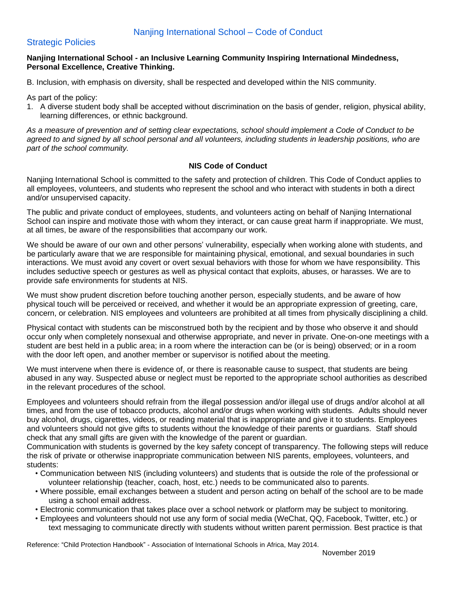## Strategic Policies

#### **Nanjing International School - an Inclusive Learning Community Inspiring International Mindedness, Personal Excellence, Creative Thinking.**

B. Inclusion, with emphasis on diversity, shall be respected and developed within the NIS community.

As part of the policy:

1. A diverse student body shall be accepted without discrimination on the basis of gender, religion, physical ability, learning differences, or ethnic background.

As a measure of prevention and of setting clear expectations, school should implement a Code of Conduct to be agreed to and signed by all school personal and all volunteers, including students in leadership positions, who are *part of the school community.*

#### **NIS Code of Conduct**

Nanjing International School is committed to the safety and protection of children. This Code of Conduct applies to all employees, volunteers, and students who represent the school and who interact with students in both a direct and/or unsupervised capacity.

The public and private conduct of employees, students, and volunteers acting on behalf of Nanjing International School can inspire and motivate those with whom they interact, or can cause great harm if inappropriate. We must, at all times, be aware of the responsibilities that accompany our work.

We should be aware of our own and other persons' vulnerability, especially when working alone with students, and be particularly aware that we are responsible for maintaining physical, emotional, and sexual boundaries in such interactions. We must avoid any covert or overt sexual behaviors with those for whom we have responsibility. This includes seductive speech or gestures as well as physical contact that exploits, abuses, or harasses. We are to provide safe environments for students at NIS.

We must show prudent discretion before touching another person, especially students, and be aware of how physical touch will be perceived or received, and whether it would be an appropriate expression of greeting, care, concern, or celebration. NIS employees and volunteers are prohibited at all times from physically disciplining a child.

Physical contact with students can be misconstrued both by the recipient and by those who observe it and should occur only when completely nonsexual and otherwise appropriate, and never in private. One-on-one meetings with a student are best held in a public area; in a room where the interaction can be (or is being) observed; or in a room with the door left open, and another member or supervisor is notified about the meeting.

We must intervene when there is evidence of, or there is reasonable cause to suspect, that students are being abused in any way. Suspected abuse or neglect must be reported to the appropriate school authorities as described in the relevant procedures of the school.

Employees and volunteers should refrain from the illegal possession and/or illegal use of drugs and/or alcohol at all times, and from the use of tobacco products, alcohol and/or drugs when working with students. Adults should never buy alcohol, drugs, cigarettes, videos, or reading material that is inappropriate and give it to students. Employees and volunteers should not give gifts to students without the knowledge of their parents or guardians. Staff should check that any small gifts are given with the knowledge of the parent or guardian.

Communication with students is governed by the key safety concept of transparency. The following steps will reduce the risk of private or otherwise inappropriate communication between NIS parents, employees, volunteers, and students:

- Communication between NIS (including volunteers) and students that is outside the role of the professional or volunteer relationship (teacher, coach, host, etc.) needs to be communicated also to parents.
- Where possible, email exchanges between a student and person acting on behalf of the school are to be made using a school email address.
- Electronic communication that takes place over a school network or platform may be subject to monitoring.
- Employees and volunteers should not use any form of social media (WeChat, QQ, Facebook, Twitter, etc.) or text messaging to communicate directly with students without written parent permission. Best practice is that

Reference: "Child Protection Handbook" - Association of International Schools in Africa, May 2014.